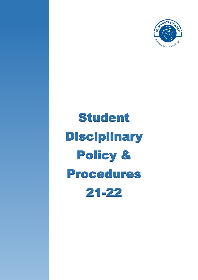

# Student Disciplinary Policy & Procedures 21-22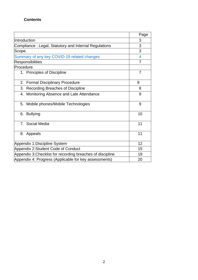## **Contents**

|                                                            | Page           |
|------------------------------------------------------------|----------------|
| Introduction                                               | 3              |
| Compliance: Legal, Statutory and Internal Regulations      | 3              |
| Scope <sub>-</sub>                                         | 3              |
| Summary of any key COVID-19 related changes                | 4              |
| <b>Responsibilities</b>                                    | $\overline{7}$ |
| Procedure                                                  |                |
| 1. Principles of Discipline                                | $\overline{7}$ |
| 2. Formal Disciplinary Procedure                           | 8              |
| Recording Breaches of Discipline<br>3.                     | 8              |
| 4. Monitoring Absence and Late Attendance                  | 9              |
| 5. Mobile phones/Mobile Technologies                       | 9              |
| 6. Bullying                                                | 10             |
| 7. Social Media                                            | 11             |
| 8. Appeals                                                 | 11             |
| Appendix 1: Discipline System                              | 12             |
| Appendix 2:Student Code of Conduct                         | 15             |
| Appendix 3: Checklist for recording breaches of discipline | 19             |
| Appendix 4: Progress (Applicable for key assessments)      | 20             |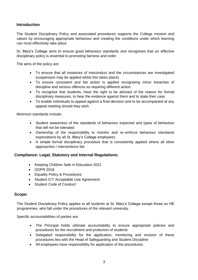## **Introduction**

The Student Disciplinary Policy and associated procedures supports the College mission and values by encouraging appropriate behaviour and creating the conditions under which learning can most effectively take place.

St. Mary's College aims to ensure good behaviour standards and recognises that an effective disciplinary policy is essential to promoting fairness and order.

The aims of the policy are:

- To ensure that all instances of misconduct and the circumstances are investigated (suspension may be applied whilst this takes place)
- To ensure consistent and fair action is applied recognising minor breaches of discipline and serious offences as requiring different action
- To recognise that students, have the right to be advised of the reason for formal disciplinary measures, to hear the evidence against them and to state their case
- To enable individuals to appeal against a final decision and to be accompanied at any appeal meeting should they wish.

Minimum standards include:

- Student awareness of the standards of behaviour expected and types of behaviour that will not be tolerated
- Ownership of the responsibility to monitor and re–enforce behaviour standards expectations by all St. Mary's College employees
- A simple formal disciplinary procedure that is consistently applied where all other approaches / interventions fail.

## **Compliance: Legal, Statutory and Internal Regulations:**

- Keeping Children Safe in Education 2021
- GDPR 2018
- Equality Policy & Procedures
- Student ICT Acceptable Use Agreement
- Student Code of Conduct

## **Scope:**

The Student Disciplinary Policy applies to all students at St. Mary's College except those on HE programmes, who fall under the procedures of the relevant university.

Specific accountabilities of parties are:

- The Principal holds ultimate accountability to ensure appropriate policies and procedures for the recruitment and protection of students
- Delegated responsibility for the application, monitoring and revision of these procedures lies with the Head of Safeguarding and Student Discipline
- All employees have responsibility for application of the procedures.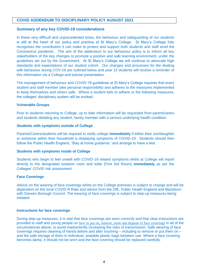## **COVID ADDENDUM TO DISCIPLINARY POLICY AUGUST 2021**

#### **Summary of any key COVID-19 considerations**

In these very difficult and unprecedented times, the behaviour and safeguarding of our students is still at the heart of our policy and practice at St Mary's College. St Mary's College fully recognises the contribution it can make to protect and support both students and staff amid the Coronavirus pandemic. The aim of the addendum to our behaviour policy is to inform all key stakeholders of the key changes to promote a positive and safe learning environment, under the guidelines set out by the Government. At St Mary's College we will continue to advocate high standards and expectations of our student cohort. Our changes and processes for the dealing with behaviour during COV-19 are outlined below and year 13 students will receive a reminder of this information via a College and tutorial presentation.

The management of behaviour and COVID-19 guidelines at St Mary's College requires that every student and staff member take personal responsibility and adheres to the measures implemented to keep themselves and others safe. Where a student fails to adhere to the following measures, the colleges' disciplinary system will be evoked.

#### **Vulnerable Groups**

Prior to students returning to College, up to date information will be requested from parent/carers and students detailing any student, family member with a serious underlying health condition.

#### **Students with symptoms outside of College**

Parents/Carers/students will be required to notify college **immediately** if either their son/daughter or someone within their household is displaying symptoms of COVID-19. Students should then follow the Public Health England, 'Stay at home guidance,' and arrange to have a test.

#### **Students with symptoms inside of College**

Students who begin to feel unwell with COVID-19 related symptoms whilst at College will report directly to the designated isolation room and toilet (First Aid Room) **immediately** as per the Colleges' COVID risk assessment.

#### **Face Coverings**

Advice on the wearing of face coverings whilst on the College premises is subject to change and will be dependent on the local COVID R Rate and advice from the DfE, Public Health England and Blackburn with Darwen Borough Council. The wearing of face coverings is subject to step-up measures being initiated.

#### **Instructions for face coverings**

During step-up measures, it is vital that face coverings are worn correctly and that clear instructions are provided to staff and young people on how to put on, remove, store and dispose of face [coverings](https://www.gov.uk/government/publications/face-coverings-when-to-wear-one-and-how-to-make-your-own/face-coverings-when-to-wear-one-and-how-to-make-your-own) in all of the circumstances above, to avoid inadvertently increasing the risks of transmission. Safe wearing of face coverings requires cleaning of hands before and after touching – including to remove or put them on – and the safe storage of them in individual, sealable plastic bags between use. Where a face covering becomes damp, it should not be worn and the face covering should be replaced carefully.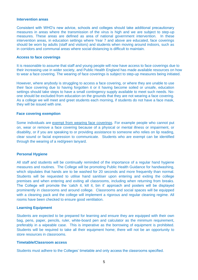#### **Intervention areas**

Consistent with WHO's new advice, schools and colleges should take additional precautionary measures in areas where the transmission of the virus is high and we are subject to step-up measures. These areas are defined as area of national government intervention. In these intervention areas, in education settings where Year 7 and above are educated, face coverings should be worn by adults (staff and visitors) and students when moving around indoors, such as in corridors and communal areas where social distancing is difficult to maintain.

#### **Access to face coverings**

It is reasonable to assume that staff and young people will now have access to face coverings due to their increasing use in wider society, and Public Health England has made available resources on how to wear a face [covering.](https://www.gov.uk/government/publications/how-to-wear-and-make-a-cloth-face-covering/how-to-wear-and-make-a-cloth-face-covering) The wearing of face coverings is subject to step-up measures being initiated.

However, where anybody is struggling to access a face covering, or where they are unable to use their face covering due to having forgotten it or it having become soiled or unsafe, education settings should take steps to have a small contingency supply available to meet such needs. Noone should be excluded from education on the grounds that they are not wearing a face covering. As a college we will meet and greet students each morning, if students do not have a face mask, they will be issued with one.

#### **Face covering exemption**

Some individuals are exempt from wearing face [coverings.](https://www.gov.uk/government/publications/face-coverings-when-to-wear-one-and-how-to-make-your-own/face-coverings-when-to-wear-one-and-how-to-make-your-own) For example people who cannot put on, wear or remove a face covering because of a physical or mental illness or impairment, or disability, or if you are speaking to or providing assistance to someone who relies on lip reading, clear sound or facial expression to communicate. Students who are exempt can be identified through the wearing of a red/green lanyard.

#### **Personal Hygiene**

All staff and students will be continually reminded of the importance of a regular hand hygiene measures and routines. The College will be promoting Public Health Guidance for handwashing, which stipulates that hands are to be washed for 20 seconds and more frequently than normal. Students will be requested to utilise hand sanitiser upon entering and exiting the college premises and when entering and exiting all classrooms, including when returning from breaks. The College will promote the 'catch it, kill it, bin it' approach and posters will be displayed prominently in classrooms and around college. Classrooms and social spaces will be equipped with a cleaning pack and the college will implement a rigorous and regular cleaning regime. All rooms have been checked to ensure good ventilation.

#### **Learning Equipment**

Students are expected to be prepared for learning and ensure they are equipped with their own bag, pens, paper, pencils, ruler, white-board pen and calculator as the minimum requirement, preferably in a wipeable case. This is imperative as the borrowing of equipment is prohibited. Students will be required to take all their equipment home; there will not be an opportunity to store resources in classrooms.

#### **Timetable/Classroom access**

Students must adhere to the Colleges' timetable and only access the classrooms specified.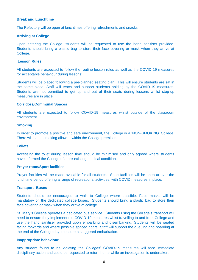#### **Break and Lunchtime**

The Refectory will be open at lunchtimes offering refreshments and snacks.

### **Arriving at College**

Upon entering the College, students will be requested to use the hand sanitiser provided. Students should bring a plastic bag to store their face covering or mask when they arrive at College.

## **Lesson Rules**

All students are expected to follow the routine lesson rules as well as the COVID-19 measures for acceptable behaviour during lessons:

Students will be placed following a pre-planned seating plan. This will ensure students are sat in the same place. Staff will teach and support students abiding by the COVID-19 measures. Students are not permitted to get up and out of their seats during lessons whilst step-up measures are in place.

#### **Corridors/Communal Spaces**

All students are expected to follow COVID-19 measures whilst outside of the classroom environment.

#### **Smoking**

In order to promote a positive and safe environment, the College is a 'NON-SMOKING' College. There will be no smoking allowed within the College premises.

#### **Toilets**

Accessing the toilet during lesson time should be minimised and only agreed where students have informed the College of a pre-existing medical condition.

#### **Prayer room/Sport facilities**

Prayer facilities will be made available for all students. Sport facilities will be open at over the lunchtime period offering a range of recreational activities, with COVID measures in place.

## **Transport -Buses**

Students should be encouraged to walk to College where possible. Face masks will be mandatory on the dedicated college buses. Students should bring a plastic bag to store their face covering or mask when they arrive at college.

St. Mary's College operates a dedicated bus service. Students using the College's transport will need to ensure they implement the COVID-19 measures whist travelling to and from College and use the hand sanitiser provided upon embarking and disembarking. Students will be seated facing forwards and where possible spaced apart. Staff will support the queuing and boarding at the end of the College day to ensure a staggered embarkation.

#### **Inappropriate behaviour**

Any student found to be violating the Colleges' COVID-19 measures will face immediate disciplinary action and could be requested to return home while an investigation is undertaken.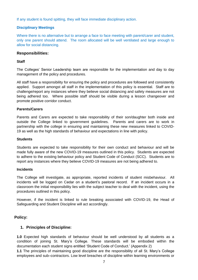If any student is found spitting, they will face immediate disciplinary action.

## **Disciplinary Meetings**

Where there is no alternative but to arrange a face to face meeting with parent/carer and student, only one parent should attend. The room allocated will be well ventilated and large enough to allow for social distancing.

## **Responsibilities:**

## **Staff**

The Colleges' Senior Leadership team are responsible for the implementation and day to day management of the policy and procedures.

All staff have a responsibility for ensuring the policy and procedures are followed and consistently applied. Support amongst all staff in the implementation of this policy is essential. Staff are to challenge/report any instances where they believe social distancing and safety measures are not being adhered too. Where possible staff should be visible during a lesson changeover and promote positive corridor conduct.

## **Parents/Carers**

Parents and Carers are expected to take responsibility of their son/daughter both inside and outside the College linked to government guidelines. Parents and carers are to work in partnership with the college in ensuring and maintaining these new measures linked to COVID-19 as well as the high standards of behaviour and expectations in line with policy.

## **Students**

Students are expected to take responsibility for their own conduct and behaviour and will be made fully aware of the new COVID-19 measures outlined in this policy. Students are expected to adhere to the existing behaviour policy and Student Code of Conduct (SCC). Students are to report any instances where they believe COVID-19 measures are not being adhered to.

## **Incidents**

The College will investigate, as appropriate, reported incidents of student misbehaviour. All incidents will be logged on Cedar on a student's pastoral record. If an incident occurs in a classroom the initial responsibility lies with the subject teacher to deal with the incident, using the procedures outlined in this policy.

However, if the incident is linked to rule breaking associated with COVID-19, the Head of Safeguarding and Student Discipline will act accordingly.

## **Policy:**

## **1. Principles of Discipline:**

**1.0** Expected high standards of behaviour should be well understood by all students as a condition of joining St. Mary's College. These standards will be embodied within the documentation each student signs entitled 'Student Code of Conduct.' (Appendix 2)

**1.1** The principles of maintaining good discipline are the responsibility of all St. Mary's College employees and sub–contractors. Low level breaches of discipline within learning environments or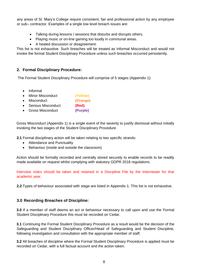any areas of St. Mary's College require consistent, fair and professional action by any employee or sub– contractor. Examples of a single low level breach issues are:

- Talking during lessons / sessions that disturbs and disrupts others.
- Playing music or on-line gaming too loudly in communal areas.
- A heated discussion or disagreement.

This list is not exhaustive. Such breaches will be treated as Informal Misconduct and would not invoke the formal Student Disciplinary Procedure unless such breaches occurred persistently.

## **2. Formal Disciplinary Procedure:**

The Formal Student Disciplinary Procedure will comprise of 5 stages (Appendix 1):

- Informal
- Minor Misconduct **(Yellow)**
- Misconduct **(Orange)**
- Serious Misconduct **(Red)**
- Gross Misconduct **(Purple)**

Gross Misconduct (Appendix 1) is a single event of the severity to justify dismissal without initially invoking the two stages of the Student Disciplinary Procedure

**2.1** Formal disciplinary action will be taken relating to two specific strands:

- Attendance and Punctuality
- Behaviour (inside and outside the classroom)

Action should be formally recorded and centrally stored securely to enable records to be readily made available on request whilst complying with statutory GDPR 2018 regulations.

Interview notes should be taken and retained in a Discipline File by the interviewer for that academic year.

**2.2** Types of behaviour associated with stage are listed in Appendix 1. This list is not exhaustive.

## **3.0 Recording Breaches of Discipline:**

**3.0** If a member of staff deems an act or behaviour necessary to call upon and use the Formal Student Disciplinary Procedure this must be recorded on Cedar.

**3.1** Continuing the Formal Student Disciplinary Procedure as a result would be the decision of the Safeguarding and Student Disciplinary Officer/Head of Safeguarding and Student Discipline, following investigation and consultation with the appropriate member of staff.

**3.2** All breaches of discipline where the Formal Student Disciplinary Procedure is applied must be recorded on Cedar, with a full factual account and the action taken.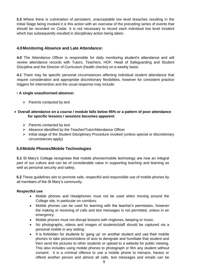**3.3** Where there is culmination of persistent, unacceptable low level breaches resulting in the Initial Stage being invoked it is this action with an overview of the preceding series of events that should be recorded on Cedar. It is not necessary to record each individual low level incident which has subsequently resulted in disciplinary action being taken.

## **4.0Monitoring Absence and Late Attendance:**

**4.0** The Attendance Officer is responsible for daily monitoring student's attendance and will review attendance records with Tutors, Teachers, HOF, Head of Safeguarding and Student Discipline and the Director of Curriculum (health checks) on a weekly basis.

**4.1** There may be specific personal circumstances affecting individual student attendance that require consideration and appropriate discretionary flexibilities, however for consistent practice triggers for intervention and the usual response may include:

## • **A single unauthorised absence:**

- $\triangleright$  Parents contacted by text
- **Overall attendance on a course / module falls below 95% or a pattern of poor attendance for specific lessons / sessions becomes apparent:** 
	- $\triangleright$  Parents contacted by text
	- $\triangleright$  Absence identified by the Teacher/Tutor/Attendance Officer
	- $\triangleright$  Initial stage of the Student Disciplinary Procedure invoked (unless special or discretionary circumstances apply)

## **5.0Mobile Phones/Mobile Technologies**

**5.1** St Mary's College recognises that mobile phones/mobile technology are now an integral part of our culture and can be of considerable value in supporting teaching and learning as well as personal security and safety.

**5.2** These guidelines aim to promote safe, respectful and responsible use of mobile phones by all members of the St Mary's community.

## **Respectful use**

- Mobile phones and Headphones must not be used when moving around the College site, in particular on corridors.
- Mobile phones can be used for learning with the teacher's permission, however the making or receiving of calls and text messages is not permitted, unless in an emergency.
- Mobile phones must not disrupt lessons with ringtones, beeping or music.
- No photographs, videos and images of students/staff should be captured via a personal mobile in any setting.
- It is forbidden for students to 'gang up' on another student and use their mobile phones to take pictures/videos of acts to denigrate and humiliate that student and then send the pictures to other students or upload to a website for public viewing. This also includes using mobile phones to photograph or film any student without consent. It is a criminal offence to use a mobile phone to menace, harass or offend another person and almost all calls, text messages and emails can be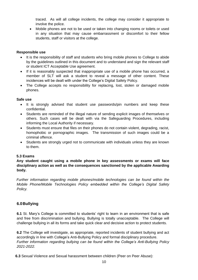traced. As will all college incidents, the college may consider it appropriate to involve the police.

 Mobile phones are not to be used or taken into changing rooms or toilets or used in any situation that may cause embarrassment or discomfort to their fellow students, staff or visitors at the college.

## **Responsible use**

- It is the responsibility of staff and students who bring mobile phones to College to abide by the guidelines outlined in this document and to understand and sign the relevant staff or student ICT Acceptable Use agreement.
- If it is reasonably suspected that inappropriate use of a mobile phone has occurred, a member of SLT will ask a student to reveal a message of other content. These incidences will be dealt with under the College's Digital Safety Policy.
- The College accepts no responsibility for replacing, lost, stolen or damaged mobile phones.

## **Safe use**

- It is strongly advised that student use passwords/pin numbers and keep these confidential.
- Students are reminded of the illegal nature of sending explicit images of themselves or others. Such cases will be dealt with via the Safeguarding Procedures, including informing the Local Authority if necessary.
- Students must ensure that files on their phones do not contain violent, degrading, racist, homophobic or pornographic images. The transmission of such images could be a criminal offence.
- Students are strongly urged not to communicate with individuals unless they are known to them.

## **5.3 Exams**

**Any student caught using a mobile phone in key assessments or exams will face disciplinary action as well as the consequences sanctioned by the applicable Awarding body.** 

*Further information regarding mobile phones/mobile technologies can be found within the Mobile Phone/Mobile Technologies Policy embedded within the College's Digital Safety Policy.* 

## **6.0Bullying**

**6.1** St. Mary's College is committed to students' right to learn in an environment that is safe and free from discrimination and bullying. Bullying is totally unacceptable. The College will challenge bullying in all its forms and take quick clear and decisive action to protect students.

**6.2** The College will investigate, as appropriate, reported incidents of student bullying and act accordingly in line with College's Anti-Bullying Policy and formal disciplinary procedure. *Further information regarding bullying can be found within the College's Anti-Bullying Policy 2021-2022.* 

**6.3** Sexual Violence and Sexual harassment between children (Peer on Peer Abuse):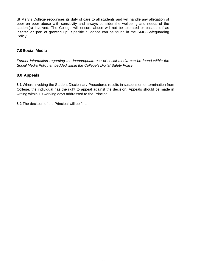St Mary's College recognises its duty of care to all students and will handle any allegation of peer on peer abuse with sensitivity and always consider the wellbeing and needs of the student(s) involved. The College will ensure abuse will not be tolerated or passed off as 'banter' or 'part of growing up'. Specific guidance can be found in the SMC Safeguarding Policy.

## **7.0Social Media**

*Further information regarding the inappropriate use of social media can be found within the Social Media Policy embedded within the College's Digital Safety Policy.* 

## **8.0 Appeals**

**8.1** Where invoking the Student Disciplinary Procedures results in suspension or termination from College, the individual has the right to appeal against the decision. Appeals should be made in writing within 10 working days addressed to the Principal.

**8.2** The decision of the Principal will be final.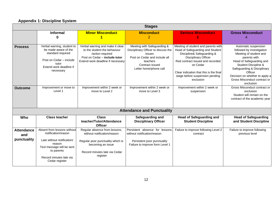## **Appendix 1: Discipline System**

| <b>Stages</b>            |                                                                                                                                                     |                                                                                                                                                            |                                                                                                                                                                        |                                                                                                                                                                                                                                                                                 |                                                                                                                                                                                                                                                                          |
|--------------------------|-----------------------------------------------------------------------------------------------------------------------------------------------------|------------------------------------------------------------------------------------------------------------------------------------------------------------|------------------------------------------------------------------------------------------------------------------------------------------------------------------------|---------------------------------------------------------------------------------------------------------------------------------------------------------------------------------------------------------------------------------------------------------------------------------|--------------------------------------------------------------------------------------------------------------------------------------------------------------------------------------------------------------------------------------------------------------------------|
|                          | <b>Informal</b><br>0                                                                                                                                | <b>Minor Misconduct</b>                                                                                                                                    | <b>Misconduct</b><br>2                                                                                                                                                 | <b>Serious Misconduct</b><br>3                                                                                                                                                                                                                                                  | <b>Gross Misconduct</b><br>Δ                                                                                                                                                                                                                                             |
| <b>Process</b>           | Verbal warning, student to<br>be made aware of the<br>standard required<br>Post on Cedar - include<br>tutor<br>Extend work deadline if<br>necessary | Verbal warning and make it clear<br>to the student the behaviour<br>/action required<br>Post on Cedar - include tutor<br>Extend work deadline if necessary | Meeting with Safeguarding &<br>Disciplinary Officer to discuss the<br>issues<br>Post on Cedar and include all<br>teachers<br>Contract issued<br>Letter home/phone call | Meeting of student and parents with<br>Head of Safeguarding and Student<br>Discipline& Safeguarding &<br><b>Disciplinary Officer</b><br>Red contract issued and recorded<br>on Cedar<br>Clear indication that this is the final<br>stage before suspension pending<br>exclusion | Automatic suspension<br>followed by investigation<br>Meeting of student and<br>parents with<br>Head of Safeguarding and<br>Student Discipline &<br>Safeguarding & Disciplinary<br>Officer<br>Decision on whether to apply a<br>Gross Misconduct contract or<br>exclusion |
| <b>Outcome</b>           | Improvement or move to<br>Level 1                                                                                                                   | Improvement within 2 week or<br>move to Level 2                                                                                                            | Improvement within 2 week or<br>move to Level 3                                                                                                                        | Improvement within 2 week or<br>suspension                                                                                                                                                                                                                                      | Gross Misconduct contract or<br>exclusion<br>Student will remain on the<br>contract of the academic year                                                                                                                                                                 |
|                          |                                                                                                                                                     |                                                                                                                                                            | <b>Attendance and Punctuality</b>                                                                                                                                      |                                                                                                                                                                                                                                                                                 |                                                                                                                                                                                                                                                                          |
| Who                      | <b>Class teacher</b>                                                                                                                                | <b>Class</b><br>teacher/Tutor/Attendance<br><b>Officer</b>                                                                                                 | Safeguarding and<br><b>Disciplinary Officer</b>                                                                                                                        | <b>Head of Safeguarding and</b><br><b>Student Discipline</b>                                                                                                                                                                                                                    | <b>Head of Safeguarding</b><br>and Student Discipline                                                                                                                                                                                                                    |
| <b>Attendance</b><br>and | Absent from lessons without<br>notification/reason                                                                                                  | Regular absence from lessons,<br>without notification/reason                                                                                               | Persistent absence for lessons<br>without notification/reason                                                                                                          | Failure to improve following Level 2<br>contract                                                                                                                                                                                                                                | Failure to improve following<br>previous level                                                                                                                                                                                                                           |
| punctuality              | Late without notification/<br>reason<br>Text message will be sent<br>to parents<br>Record minutes late via<br>Cedar register                        | Regular poor punctuality which is<br>becoming an issue<br>Record minutes late via Cedar<br>register                                                        | Persistent poor punctuality<br>Failure to improve form Level 1                                                                                                         |                                                                                                                                                                                                                                                                                 |                                                                                                                                                                                                                                                                          |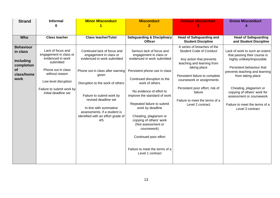| <b>Strand</b>                                                                                     | <b>Informal</b>                                                                                                                                                                                    | <b>Minor Misconduct</b>                                                                                                                                                                                                                                                                                                           | <b>Misconduct</b>                                                                                                                                                                                                                                                                                                                                                                                                                                            | <b>Serious Misconduct</b><br>3                                                                                                                                                                                                                                                                             | <b>Gross Misconduct</b><br>4                                                                                                                                                                                                                                                                                                 |
|---------------------------------------------------------------------------------------------------|----------------------------------------------------------------------------------------------------------------------------------------------------------------------------------------------------|-----------------------------------------------------------------------------------------------------------------------------------------------------------------------------------------------------------------------------------------------------------------------------------------------------------------------------------|--------------------------------------------------------------------------------------------------------------------------------------------------------------------------------------------------------------------------------------------------------------------------------------------------------------------------------------------------------------------------------------------------------------------------------------------------------------|------------------------------------------------------------------------------------------------------------------------------------------------------------------------------------------------------------------------------------------------------------------------------------------------------------|------------------------------------------------------------------------------------------------------------------------------------------------------------------------------------------------------------------------------------------------------------------------------------------------------------------------------|
|                                                                                                   | 0                                                                                                                                                                                                  |                                                                                                                                                                                                                                                                                                                                   | $\overline{2}$                                                                                                                                                                                                                                                                                                                                                                                                                                               |                                                                                                                                                                                                                                                                                                            |                                                                                                                                                                                                                                                                                                                              |
| <b>Who</b>                                                                                        | <b>Class teacher</b>                                                                                                                                                                               | <b>Class teacher/Tutor</b>                                                                                                                                                                                                                                                                                                        | <b>Safeguarding &amp; Disciplinary</b><br><b>Officer</b>                                                                                                                                                                                                                                                                                                                                                                                                     | <b>Head of Safeguarding and</b><br><b>Student Discipline</b>                                                                                                                                                                                                                                               | <b>Head of Safeguarding</b><br>and Student Discipline                                                                                                                                                                                                                                                                        |
| <b>Behaviour</b><br>in class<br><b>Including</b><br>completion<br><b>of</b><br>class/home<br>work | Lack of focus and<br>engagement in class or<br>evidenced in work<br>submitted<br>Phone out in class<br>without reason<br>Low level disruption<br>Failure to submit work by<br>initial deadline set | Continued lack of focus and<br>engagement in class or<br>evidenced in work submitted<br>Phone out in class after warning<br>given<br>Disruption to the work of others<br>Failure to submit work by<br>revised deadline set<br>In-line with summative<br>assessments, if a student is<br>identified with an effort grade of<br>4/5 | Serious lack of focus and<br>engagement in class or<br>evidenced in work submitted<br>Persistent phone use in class<br>Continued disruption to the<br>work of others<br>No evidence of effort to<br>improve the standard of work<br>Repeated failure to submit<br>work by deadline<br>Cheating, plagiarism or<br>copying of others' work<br>(Not assessment or<br>coursework)<br>Continued poor effort<br>Failure to meet the terms of a<br>Level 1 contract | A series of breaches of the<br><b>Student Code of Conduct</b><br>Any action that prevents<br>teaching and learning from<br>taking place<br>Persistent failure to complete<br>coursework or assignments<br>Persistent poor effort, risk of<br>failure<br>Failure to meet the terms of a<br>Level 2 contract | Lack of work to such an extent<br>that passing their course is<br>highly unlikely/impossible<br>Persistent behaviour that<br>prevents teaching and learning<br>from taking place<br>Cheating, plagiarism or<br>copying of others' work for<br>assessment or coursework<br>Failure to meet the terms of a<br>Level 3 contract |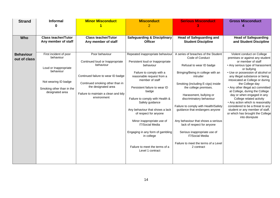| <b>Strand</b>                    | <b>Informal</b><br>ი                                                                                                                              | <b>Minor Misconduct</b>                                                                                                                                                                                               | <b>Misconduct</b><br>$\overline{2}$                                                                                                                                                                                                                                                                                                                                                                                                                                                       | <b>Serious Misconduct</b>                                                                                                                                                                                                                                                                                                                                                                                                                                                                                              | <b>Gross Misconduct</b>                                                                                                                                                                                                                                                                                                                                                                                                                                                                                                                                                |
|----------------------------------|---------------------------------------------------------------------------------------------------------------------------------------------------|-----------------------------------------------------------------------------------------------------------------------------------------------------------------------------------------------------------------------|-------------------------------------------------------------------------------------------------------------------------------------------------------------------------------------------------------------------------------------------------------------------------------------------------------------------------------------------------------------------------------------------------------------------------------------------------------------------------------------------|------------------------------------------------------------------------------------------------------------------------------------------------------------------------------------------------------------------------------------------------------------------------------------------------------------------------------------------------------------------------------------------------------------------------------------------------------------------------------------------------------------------------|------------------------------------------------------------------------------------------------------------------------------------------------------------------------------------------------------------------------------------------------------------------------------------------------------------------------------------------------------------------------------------------------------------------------------------------------------------------------------------------------------------------------------------------------------------------------|
|                                  |                                                                                                                                                   |                                                                                                                                                                                                                       |                                                                                                                                                                                                                                                                                                                                                                                                                                                                                           |                                                                                                                                                                                                                                                                                                                                                                                                                                                                                                                        |                                                                                                                                                                                                                                                                                                                                                                                                                                                                                                                                                                        |
| <b>Who</b>                       | <b>Class teacher/Tutor</b><br>Any member of staff                                                                                                 | <b>Class teacher/Tutor</b><br>Any member of staff                                                                                                                                                                     | <b>Safeguarding &amp; Disciplinary</b><br><b>Officer</b>                                                                                                                                                                                                                                                                                                                                                                                                                                  | <b>Head of Safeguarding and</b><br><b>Student Discipline</b>                                                                                                                                                                                                                                                                                                                                                                                                                                                           | <b>Head of Safeguarding</b><br>and Student Discipline                                                                                                                                                                                                                                                                                                                                                                                                                                                                                                                  |
| <b>Behaviour</b><br>out of class | First incident of poor<br>behaviour<br>Loud or Inappropriate<br>behaviour<br>Not wearing ID badge<br>Smoking other than in the<br>designated area | Poor behaviour<br>Continued loud or Inappropriate<br>behaviour<br>Continued failure to wear ID badge<br>Continued smoking other than in<br>the designated area<br>Failure to maintain a clean and tidy<br>environment | Repeated inappropriate behaviour<br>Persistent loud or Inappropriate<br>behaviour<br>Failure to comply with a<br>reasonable request from a<br>member of staff<br>Persistent failure to wear ID<br>badge<br>Failure to comply with Health &<br>Safety guidance<br>Any behaviour that shows a lack<br>of respect for anyone<br>Minor inappropriate use of<br><b>IT/Social Media</b><br>Engaging in any form of gambling<br>in college<br>Failure to meet the terms of a<br>Level 1 contract | A series of breaches of the Student<br>Code of Conduct<br>Refusal to wear ID badge<br>Bringing/Being in college with an<br>intruder<br>Smoking (including E-cigs) inside<br>the college premises.<br>Harassment, bullying or<br>discriminatory behaviour<br>Failure to comply with Health/Safety<br>guidance that endangers anyone<br>Any behaviour that shows a serious<br>lack of respect for anyone<br>Serious inappropriate use of<br><b>IT/Social Media</b><br>Failure to meet the terms of a Level<br>2 contract | Violent conduct on College<br>premises or against any student<br>or member of staff<br>• Any serious type of harassment<br>or bullying<br>• Use or possession of alcohol or<br>any illegal substance or being<br>intoxicated at College or during<br>the College day<br>• Any other illegal act committed<br>at College, during the College<br>day or when engaged in any<br>College related activity<br>• Any action which is reasonably<br>considered to be a threat to any<br>student or any member of staff,<br>or which has brought the College<br>into disrepute |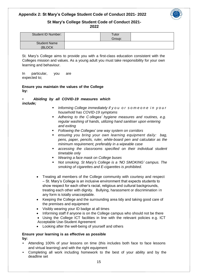## **Appendix 2: St Mary's College Student Code of Conduct 2021- 2022**



#### **St Mary's College Student Code of Conduct 2021- 2022**

| <b>Student ID Number:</b> | $\tau$ utor<br>Group: |  |
|---------------------------|-----------------------|--|
| <b>Student Name</b>       |                       |  |
| (BLOCK)                   |                       |  |

St. Mary's College aims to provide you with a first-class education consistent with the Colleges mission and values. As a young adult you must take responsibility for your own learning and behaviour.

In particular, you are expected to;

## **Ensure you maintain the values of the College by:**

• *Abiding by all COVID-19 measures which include;*

- *Informing College immediately if y o u o r s o m e o n e i n y o u r household has COVID-19 symptoms*
- *Adhering to the C olleges' hygiene measures and routines, e.g. regular washing of hands, utilizing hand sanitiser upon entering and exiting*
- *Following the Colleges' one way system on corridors*
- *ensuring you bring your own learning equipment daily: bag, pens, paper, pencils, ruler, white-board pen and calculator as the minimum requirement, preferably in a wipeable case*
- *accessing the classrooms specified on their individual student timetable only*
- *Wearing a face mask on College buses*
- *Not smoking. St Mary's College is a 'NO SMOKING' campus. The smoking of cigarettes and E-cigarettes is prohibited.*
- Treating all members of the College community with courtesy and respect – St. Mary's College is an inclusive environment that expects students to show respect for each other's racial, religious and cultural backgrounds, treating each other with dignity. Bullying, harassment or discrimination in any form is totally unacceptable.
- Keeping the College and the surrounding area tidy and taking good care of the premises and equipment
- Visibly wearing your ID badge at all times
- Informing staff if anyone is on the College campus who should not be there
- Using the College ICT facilities in line with the relevant policies e.g. ICT Acceptable Use-Student Agreement
- Looking after the well-being of yourself and others

## **Ensure your learning is as effective as possible by:**

- Attending 100% of your lessons on time (this includes both face to face lessons and virtual learning) and with the right equipment
- Completing all work including homework to the best of your ability and by the deadline set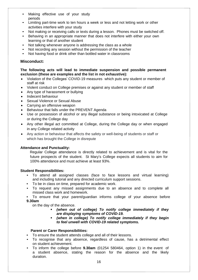- Making effective use of your study periods
- Limiting part-time work to ten hours a week or less and not letting work or other activities interfere with your study
- Not making or receiving calls or texts during a lesson. Phones must be switched off.
- Behaving in an appropriate manner that does not interfere with either your own learning or that of another student
- Not talking whenever anyone is addressing the class as a whole
- Not recording any session without the permission of the teacher
- Not having food or drink other than bottled water in classrooms

## **Misconduct:**

## **The following acts will lead to immediate suspension and possible permanent exclusion (these are examples and the list in not exhaustive):**

- Violation of the Colleges' COVID-19 measures which puts any student or member of staff at risk
- Violent conduct on College premises or against any student or member of staff
- Any type of harassment or bullying
- Indecent behaviour
- Sexual Violence or Sexual Abuse
- Carrying an offensive weapon
- Behaviour that falls under the PREVENT Agenda
- Use or possession of alcohol or any illegal substance or being intoxicated at College or during the College day
- Any other illegal act committed at College, during the College day or when engaged in any College related activity
- Any action or behaviour that affects the safety or well-being of students or staff or which has brought the College in disrepute

## **Attendance and Punctuality:**

Regular College attendance is directly related to achievement and is vital for the future prospects of the student. St Mary's College expects all students to aim for 100% attendance and must achieve at least 93%.

## **Student Responsibilities:**

- To attend all assigned classes (face to face lessons and virtual learning) and including tutorial and any directed curriculum support sessions.
- To be in class on time, prepared for academic work.
- To request any missed assignments due to an absence and to complete all missed class work and homework.
- To ensure that your parent/guardian informs college of your absence before **9.30am**

on the day of the absence.

- *(when out of college) To notify college immediately if they are displaying symptoms of COVID-19.*
- *(when in college) To notify college immediately if they begin to feel unwell with COVID-19 related symptoms.*

## **Parent or Carer Responsibilities:**

- To ensure the student attends college and all of their lessons.
- To recognise that any absence, regardless of cause, has a detrimental effect on student achievement.
- To inform the college before **9.30am** (01254 580464, option 1) in the event of a student absence, stating the reason for the absence and the likely duration.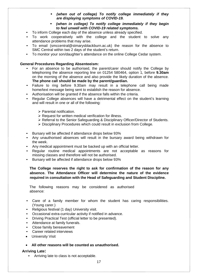- *(when out of college) To notify college immediately if they are displaying symptoms of COVID-19.*
- *(when in college) To notify college immediately if they begin to feel unwell with COVID-19 related symptoms.*
- To inform College each day of the absence unless already specified.
- To work cooperatively with the college and the student to solve any attendance problems that may arise.
- To email (smccentral@stmarysblackburn.ac.uk) the reason for the absence to SMC Central within two 2 days of the student's return.
- To monitor your son/daughter's attendance on the online College Cedar system.

#### **General Procedures Regarding Absenteeism:**

- For an absence to be authorised, the parent/carer should notify the College by telephoning the absence reporting line on 01254 580464, option 1, before **9.30am** on the morning of the absence and also provide the likely duration of the absence. **The phone call should be made by the parent/guardian.**
- Failure to ring before 9.30am may result in a telephone call being made home/text message being sent to establish the reason for absence.
- Authorisation will be granted if the absence falls within the criteria.
- Regular College absences will have a detrimental effect on the student's learning and will result in one or all of the following:
	- $\triangleright$  Parental notification.
	- $\triangleright$  Request for written medical verification for illness.
	- Referral to the Senior Safeguarding & Disciplinary Officer/Director of Students.
	- Disciplinary Procedures which could result in exclusion from College.
- Bursary will be affected if attendance drops below 93%
- Any unauthorised absences will result in the bursary award being withdrawn for the week.
- Any medical appointment must be backed up with an official letter.
- Regular routine medical appointments are not acceptable as reasons for missing classes and therefore will not be authorised.
- Bursary will be affected if attendance drops below 93%

**The College reserves the right to ask for confirmation of the reason for any absence. The Attendance Officer will determine the nature of the evidence required in consultation with the Head of Safeguarding and Student Discipline.**

The following reasons may be considered as authorised absence:

- Care of a family member for whom the student has caring responsibilities. (Young carer.)
- Religious festival (1 day) University visit.
- Occasional extra-curricular activity if notified in advance.
- Driving Practical Test (official letter to be presented).
- Attendance at family funerals.
- Close family bereavement
- Career related interviews
- University Visit

## **All other reasons will be counted as unauthorised.**

#### **Arriving Late:**

• Arriving late to class is not acceptable.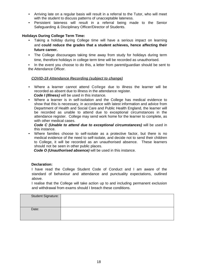- Arriving late on a regular basis will result in a referral to the Tutor, who will meet with the student to discuss patterns of unacceptable lateness.
- Persistent lateness will result in a referral being made to the Senior Safeguarding & Disciplinary Officer/Director of Students.

## **Holidays During College Term Time:**

- Taking a holiday during College time will have a serious impact on learning and **could reduce the grades that a student achieves, hence affecting their future career.**
- The College discourages taking time away from study for holidays during term time, therefore holidays in college term time will be recorded as unauthorised.

• In the event you choose to do this, a letter from parent/guardian should be sent to the Attendance Officer.

## *COVID-19 Attendance Recording (subject to change)*

- Where a learner cannot attend College due to illness the learner will be recorded as absent due to illness in the attendance register. *Code I (Illness)* will be used in this instance.
- Where a learner is in self-isolation and the College has medical evidence to show that this is necessary, in accordance with latest information and advice from Department of Health and Social Care and Public Health England, the learner will be recorded as unable to attend due to exceptional circumstances in the attendance register. College may send work home for the learner to complete, as with other medical cases.

*Code C (Unable to attend due to exceptional circumstances)* will be used in this instance.

• Where families choose to self-isolate as a protective factor, but there is no medical evidence of the need to self-isolate, and decide not to send their children to College, it will be recorded as an unauthorised absence. These learners should not be seen in other public places.

*Code O (Unauthorised absence)* will be used in this instance.

## **Declaration:**

I have read the College Student Code of Conduct and I am aware of the standard of behaviour and attendance and punctuality expectations, outlined above.

I realise that the College will take action up to and including permanent exclusion and withdrawal from exams should I breach these conditions.

| <b>Student Signature:</b> |  |
|---------------------------|--|
|                           |  |
|                           |  |
| Date:                     |  |
|                           |  |
|                           |  |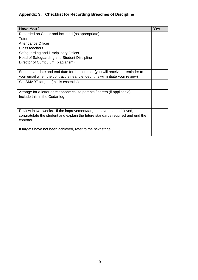# **Appendix 3: Checklist for Recording Breaches of Discipline**

| <b>Have You?</b>                                                                | <b>Yes</b> |
|---------------------------------------------------------------------------------|------------|
| Recorded on Cedar and included (as appropriate)                                 |            |
| Tutor                                                                           |            |
| Attendance Officer                                                              |            |
| <b>Class teachers</b>                                                           |            |
| Safeguarding and Disciplinary Officer                                           |            |
| Head of Safeguarding and Student Discipline                                     |            |
| Director of Curriculum (plagiarism)                                             |            |
|                                                                                 |            |
| Sent a start date and end date for the contract (you will receive a reminder to |            |
| your email when the contract is nearly ended, this will initiate your review)   |            |
| Set SMART targets (this is essential)                                           |            |
|                                                                                 |            |
| Arrange for a letter or telephone call to parents / carers (if applicable)      |            |
| Include this in the Cedar log                                                   |            |
|                                                                                 |            |
|                                                                                 |            |
| Review in two weeks. If the improvement/targets have been achieved,             |            |
| congratulate the student and explain the future standards required and end the  |            |
| contract                                                                        |            |
|                                                                                 |            |
| If targets have not been achieved, refer to the next stage                      |            |
|                                                                                 |            |